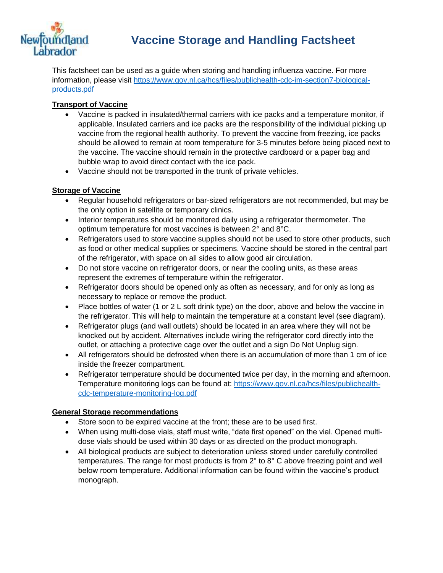

## **Vaccine Storage and Handling Factsheet**

This factsheet can be used as a guide when storing and handling influenza vaccine. For more information, please visit [https://www.gov.nl.ca/hcs/files/publichealth-cdc-im-section7-biological](https://www.gov.nl.ca/hcs/files/publichealth-cdc-im-section7-biological-products.pdf)[products.pdf](https://www.gov.nl.ca/hcs/files/publichealth-cdc-im-section7-biological-products.pdf)

#### **Transport of Vaccine**

- Vaccine is packed in insulated/thermal carriers with ice packs and a temperature monitor, if applicable. Insulated carriers and ice packs are the responsibility of the individual picking up vaccine from the regional health authority. To prevent the vaccine from freezing, ice packs should be allowed to remain at room temperature for 3-5 minutes before being placed next to the vaccine. The vaccine should remain in the protective cardboard or a paper bag and bubble wrap to avoid direct contact with the ice pack.
- Vaccine should not be transported in the trunk of private vehicles.

#### **Storage of Vaccine**

- Regular household refrigerators or bar-sized refrigerators are not recommended, but may be the only option in satellite or temporary clinics.
- Interior temperatures should be monitored daily using a refrigerator thermometer. The optimum temperature for most vaccines is between 2° and 8°C.
- Refrigerators used to store vaccine supplies should not be used to store other products, such as food or other medical supplies or specimens. Vaccine should be stored in the central part of the refrigerator, with space on all sides to allow good air circulation.
- Do not store vaccine on refrigerator doors, or near the cooling units, as these areas represent the extremes of temperature within the refrigerator.
- Refrigerator doors should be opened only as often as necessary, and for only as long as necessary to replace or remove the product.
- Place bottles of water (1 or 2 L soft drink type) on the door, above and below the vaccine in the refrigerator. This will help to maintain the temperature at a constant level (see diagram).
- Refrigerator plugs (and wall outlets) should be located in an area where they will not be knocked out by accident. Alternatives include wiring the refrigerator cord directly into the outlet, or attaching a protective cage over the outlet and a sign Do Not Unplug sign.
- All refrigerators should be defrosted when there is an accumulation of more than 1 cm of ice inside the freezer compartment.
- Refrigerator temperature should be documented twice per day, in the morning and afternoon. Temperature monitoring logs can be found at: [https://www.gov.nl.ca/hcs/files/publichealth](https://www.gov.nl.ca/hcs/files/publichealth-cdc-temperature-monitoring-log.pdf)[cdc-temperature-monitoring-log.pdf](https://www.gov.nl.ca/hcs/files/publichealth-cdc-temperature-monitoring-log.pdf)

#### **General Storage recommendations**

- Store soon to be expired vaccine at the front; these are to be used first.
- When using multi-dose vials, staff must write, "date first opened" on the vial. Opened multidose vials should be used within 30 days or as directed on the product monograph.
- All biological products are subject to deterioration unless stored under carefully controlled temperatures. The range for most products is from 2° to 8° C above freezing point and well below room temperature. Additional information can be found within the vaccine's product monograph.